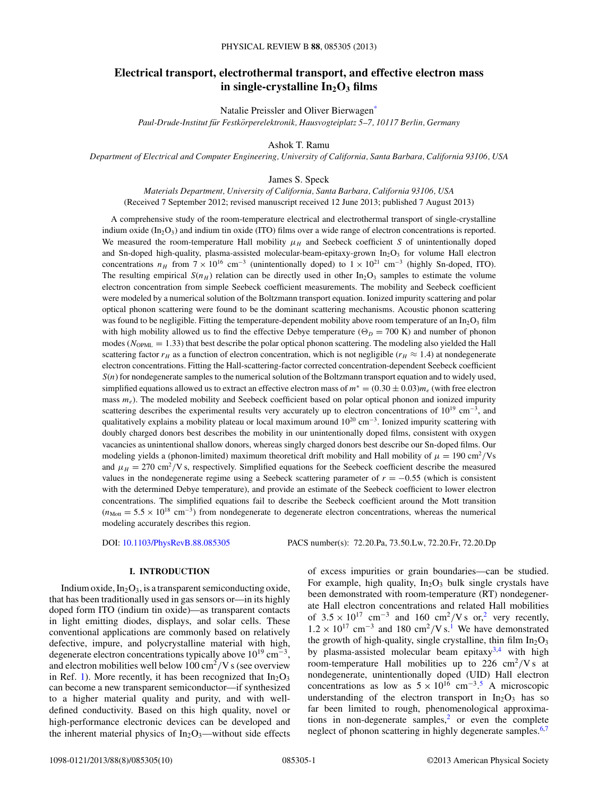# **Electrical transport, electrothermal transport, and effective electron mass** in single-crystalline  $In_2O_3$  films

Natalie Preissler and Oliver Bierwage[n\\*](#page-8-0)

*Paul-Drude-Institut fur Festk ¨ orperelektronik, Hausvogteiplatz 5–7, 10117 Berlin, Germany ¨*

Ashok T. Ramu

*Department of Electrical and Computer Engineering, University of California, Santa Barbara, California 93106, USA*

James S. Speck

*Materials Department, University of California, Santa Barbara, California 93106, USA* (Received 7 September 2012; revised manuscript received 12 June 2013; published 7 August 2013)

A comprehensive study of the room-temperature electrical and electrothermal transport of single-crystalline indium oxide (In<sub>2</sub>O<sub>3</sub>) and indium tin oxide (ITO) films over a wide range of electron concentrations is reported. We measured the room-temperature Hall mobility  $\mu_H$  and Seebeck coefficient *S* of unintentionally doped and Sn-doped high-quality, plasma-assisted molecular-beam-epitaxy-grown  $In<sub>2</sub>O<sub>3</sub>$  for volume Hall electron concentrations  $n_H$  from  $7 \times 10^{16}$  cm<sup>-3</sup> (unintentionally doped) to  $1 \times 10^{21}$  cm<sup>-3</sup> (highly Sn-doped, ITO). The resulting empirical  $S(n_H)$  relation can be directly used in other In<sub>2</sub>O<sub>3</sub> samples to estimate the volume electron concentration from simple Seebeck coefficient measurements. The mobility and Seebeck coefficient were modeled by a numerical solution of the Boltzmann transport equation. Ionized impurity scattering and polar optical phonon scattering were found to be the dominant scattering mechanisms. Acoustic phonon scattering was found to be negligible. Fitting the temperature-dependent mobility above room temperature of an  $In_2O_3$  film with high mobility allowed us to find the effective Debye temperature ( $\Theta_D = 700 \text{ K}$ ) and number of phonon modes ( $N_{\text{OPML}} = 1.33$ ) that best describe the polar optical phonon scattering. The modeling also yielded the Hall scattering factor  $r_H$  as a function of electron concentration, which is not negligible ( $r_H \approx 1.4$ ) at nondegenerate electron concentrations. Fitting the Hall-scattering-factor corrected concentration-dependent Seebeck coefficient *S*(*n*) for nondegenerate samples to the numerical solution of the Boltzmann transport equation and to widely used, simplified equations allowed us to extract an effective electron mass of  $m^* = (0.30 \pm 0.03)m_e$  (with free electron mass  $m_e$ ). The modeled mobility and Seebeck coefficient based on polar optical phonon and ionized impurity scattering describes the experimental results very accurately up to electron concentrations of  $10^{19}$  cm<sup>-3</sup>, and qualitatively explains a mobility plateau or local maximum around  $10^{20}$  cm<sup>-3</sup>. Ionized impurity scattering with doubly charged donors best describes the mobility in our unintentionally doped films, consistent with oxygen vacancies as unintentional shallow donors, whereas singly charged donors best describe our Sn-doped films. Our modeling yields a (phonon-limited) maximum theoretical drift mobility and Hall mobility of  $\mu = 190 \text{ cm}^2/\text{Vs}$ and  $\mu_H = 270 \text{ cm}^2/\text{V}$  s, respectively. Simplified equations for the Seebeck coefficient describe the measured values in the nondegenerate regime using a Seebeck scattering parameter of *r* = −0*.*55 (which is consistent with the determined Debye temperature), and provide an estimate of the Seebeck coefficient to lower electron concentrations. The simplified equations fail to describe the Seebeck coefficient around the Mott transition  $(n_{\text{Mott}} = 5.5 \times 10^{18} \text{ cm}^{-3})$  from nondegenerate to degenerate electron concentrations, whereas the numerical modeling accurately describes this region.

DOI: [10.1103/PhysRevB.88.085305](http://dx.doi.org/10.1103/PhysRevB.88.085305) PACS number(s): 72*.*20*.*Pa, 73*.*50*.*Lw, 72*.*20*.*Fr, 72*.*20*.*Dp

### **I. INTRODUCTION**

Indium oxide,  $In_2O_3$ , is a transparent semiconducting oxide, that has been traditionally used in gas sensors or—in its highly doped form ITO (indium tin oxide)—as transparent contacts in light emitting diodes, displays, and solar cells. These conventional applications are commonly based on relatively defective, impure, and polycrystalline material with high, degenerate electron concentrations typically above  $10^{19}$  cm<sup>-3</sup>, and electron mobilities well below 100 cm<sup>2</sup>*/*V s (see overview in Ref. [1\)](#page-8-0). More recently, it has been recognized that  $In_2O_3$ can become a new transparent semiconductor—if synthesized to a higher material quality and purity, and with welldefined conductivity. Based on this high quality, novel or high-performance electronic devices can be developed and the inherent material physics of  $In_2O_3$ —without side effects of excess impurities or grain boundaries—can be studied. For example, high quality,  $In<sub>2</sub>O<sub>3</sub>$  bulk single crystals have been demonstrated with room-temperature (RT) nondegenerate Hall electron concentrations and related Hall mobilities of  $3.5 \times 10^{17}$  cm<sup>-3</sup> and 160 cm<sup>[2](#page-8-0)</sup>/V s or,<sup>2</sup> very recently,  $1.2 \times 10^{17}$  $1.2 \times 10^{17}$  cm<sup>-3</sup> and 180 cm<sup>2</sup>/V s.<sup>1</sup> We have demonstrated the growth of high-quality, single crystalline, thin film  $In_2O_3$ by plasma-assisted molecular beam epitaxy $3,4$  with high room-temperature Hall mobilities up to 226  $\text{cm}^2/\text{V s}$  at nondegenerate, unintentionally doped (UID) Hall electron concentrations as low as  $5 \times 10^{16}$  $5 \times 10^{16}$  cm<sup>-3.5</sup> A microscopic understanding of the electron transport in  $In_2O_3$  has so far been limited to rough, phenomenological approximations in non-degenerate samples, $\frac{2}{3}$  $\frac{2}{3}$  $\frac{2}{3}$  or even the complete neglect of phonon scattering in highly degenerate samples.<sup>[6,7](#page-8-0)</sup>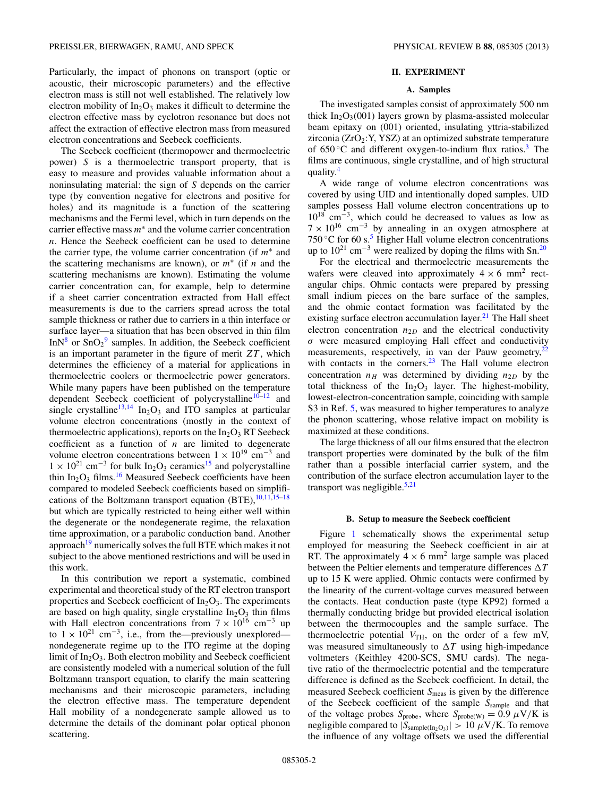Particularly, the impact of phonons on transport (optic or acoustic, their microscopic parameters) and the effective electron mass is still not well established. The relatively low electron mobility of  $In_2O_3$  makes it difficult to determine the electron effective mass by cyclotron resonance but does not affect the extraction of effective electron mass from measured electron concentrations and Seebeck coefficients.

The Seebeck coefficient (thermopower and thermoelectric power) *S* is a thermoelectric transport property, that is easy to measure and provides valuable information about a noninsulating material: the sign of *S* depends on the carrier type (by convention negative for electrons and positive for holes) and its magnitude is a function of the scattering mechanisms and the Fermi level, which in turn depends on the carrier effective mass *m*<sup>∗</sup> and the volume carrier concentration *n*. Hence the Seebeck coefficient can be used to determine the carrier type, the volume carrier concentration (if *m*<sup>∗</sup> and the scattering mechanisms are known), or *m*<sup>∗</sup> (if *n* and the scattering mechanisms are known). Estimating the volume carrier concentration can, for example, help to determine if a sheet carrier concentration extracted from Hall effect measurements is due to the carriers spread across the total sample thickness or rather due to carriers in a thin interface or surface layer—a situation that has been observed in thin film  $InN<sup>8</sup>$  or  $SnO<sub>2</sub><sup>9</sup>$  $SnO<sub>2</sub><sup>9</sup>$  $SnO<sub>2</sub><sup>9</sup>$  samples. In addition, the Seebeck coefficient is an important parameter in the figure of merit  $ZT$ , which determines the efficiency of a material for applications in thermoelectric coolers or thermoelectric power generators. While many papers have been published on the temperature dependent Seebeck coefficient of polycrystalline $10-12$  and single crystalline<sup>13,14</sup> In<sub>2</sub>O<sub>3</sub> and ITO samples at particular volume electron concentrations (mostly in the context of thermoelectric applications), reports on the  $In_2O_3$  RT Seebeck coefficient as a function of *n* are limited to degenerate volume electron concentrations between  $1 \times 10^{19}$  cm<sup>-3</sup> and  $1 \times 10^{21}$  cm<sup>-3</sup> for bulk In<sub>2</sub>O<sub>3</sub> ceramics<sup>[15](#page-9-0)</sup> and polycrystalline thin  $In_2O_3$  films.<sup>[16](#page-9-0)</sup> Measured Seebeck coefficients have been compared to modeled Seebeck coefficients based on simplifications of the Boltzmann transport equation  $(BTE)$ ,  $10,11,15-18$ but which are typically restricted to being either well within the degenerate or the nondegenerate regime, the relaxation time approximation, or a parabolic conduction band. Another approach $19$  numerically solves the full BTE which makes it not subject to the above mentioned restrictions and will be used in this work.

In this contribution we report a systematic, combined experimental and theoretical study of the RT electron transport properties and Seebeck coefficient of  $In_2O_3$ . The experiments are based on high quality, single crystalline  $In_2O_3$  thin films with Hall electron concentrations from  $7 \times 10^{16}$  cm<sup>-3</sup> up to  $1 \times 10^{21}$  cm<sup>-3</sup>, i.e., from the—previously unexplored nondegenerate regime up to the ITO regime at the doping limit of  $In_2O_3$ . Both electron mobility and Seebeck coefficient are consistently modeled with a numerical solution of the full Boltzmann transport equation, to clarify the main scattering mechanisms and their microscopic parameters, including the electron effective mass. The temperature dependent Hall mobility of a nondegenerate sample allowed us to determine the details of the dominant polar optical phonon scattering.

### **II. EXPERIMENT**

#### **A. Samples**

The investigated samples consist of approximately 500 nm thick  $In_2O_3(001)$  layers grown by plasma-assisted molecular beam epitaxy on (001) oriented, insulating yttria-stabilized zirconia  $(ZrO<sub>2</sub>:Y, YSZ)$  at an optimized substrate temperature of  $650^{\circ}$ C and different oxygen-to-indium flux ratios.<sup>[3](#page-8-0)</sup> The films are continuous, single crystalline, and of high structural quality.[4](#page-8-0)

A wide range of volume electron concentrations was covered by using UID and intentionally doped samples. UID samples possess Hall volume electron concentrations up to 1018 cm−3, which could be decreased to values as low as  $7 \times 10^{16}$  cm<sup>-3</sup> by annealing in an oxygen atmosphere at 750  $\degree$ C for 60 s.<sup>5</sup> Higher Hall volume electron concentrations up to 10<sup>21</sup> cm<sup>-3</sup> were realized by doping the films with Sn.<sup>[20](#page-9-0)</sup>

For the electrical and thermoelectric measurements the wafers were cleaved into approximately  $4 \times 6$  mm<sup>2</sup> rectangular chips. Ohmic contacts were prepared by pressing small indium pieces on the bare surface of the samples, and the ohmic contact formation was facilitated by the existing surface electron accumulation layer. $21$  The Hall sheet electron concentration  $n_{2D}$  and the electrical conductivity *σ* were measured employing Hall effect and conductivity measurements, respectively, in van der Pauw geometry, $^{22}$ with contacts in the corners. $23$  The Hall volume electron concentration  $n_H$  was determined by dividing  $n_{2D}$  by the total thickness of the  $In<sub>2</sub>O<sub>3</sub>$  layer. The highest-mobility, lowest-electron-concentration sample, coinciding with sample S3 in Ref. [5,](#page-8-0) was measured to higher temperatures to analyze the phonon scattering, whose relative impact on mobility is maximized at these conditions.

The large thickness of all our films ensured that the electron transport properties were dominated by the bulk of the film rather than a possible interfacial carrier system, and the contribution of the surface electron accumulation layer to the transport was negligible. $5,21$  $5,21$ 

#### **B. Setup to measure the Seebeck coefficient**

Figure [1](#page-2-0) schematically shows the experimental setup employed for measuring the Seebeck coefficient in air at RT. The approximately  $4 \times 6$  mm<sup>2</sup> large sample was placed between the Peltier elements and temperature differences  $\Delta T$ up to 15 K were applied. Ohmic contacts were confirmed by the linearity of the current-voltage curves measured between the contacts. Heat conduction paste (type KP92) formed a thermally conducting bridge but provided electrical isolation between the thermocouples and the sample surface. The thermoelectric potential  $V_{TH}$ , on the order of a few mV, was measured simultaneously to  $\Delta T$  using high-impedance voltmeters (Keithley 4200-SCS, SMU cards). The negative ratio of the thermoelectric potential and the temperature difference is defined as the Seebeck coefficient. In detail, the measured Seebeck coefficient *S*meas is given by the difference of the Seebeck coefficient of the sample *S*sample and that of the voltage probes  $S_{\text{probe}}$ , where  $S_{\text{probe}}(W) = 0.9 \mu V/K$  is negligible compared to  $|S_{\text{sample(In}_2O_3)}| > 10 \mu V/K$ . To remove the influence of any voltage offsets we used the differential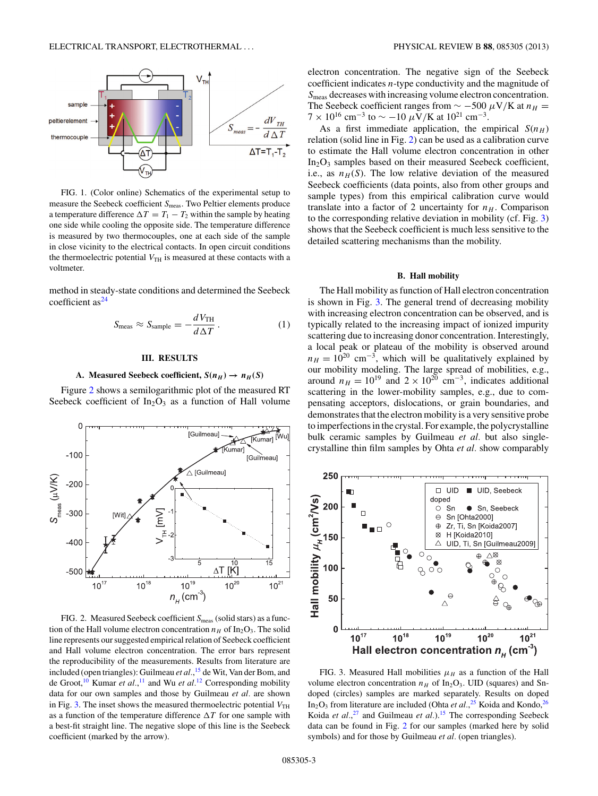<span id="page-2-0"></span>

FIG. 1. (Color online) Schematics of the experimental setup to measure the Seebeck coefficient *S*<sub>meas</sub>. Two Peltier elements produce a temperature difference  $\Delta T = T_1 - T_2$  within the sample by heating one side while cooling the opposite side. The temperature difference is measured by two thermocouples, one at each side of the sample in close vicinity to the electrical contacts. In open circuit conditions the thermoelectric potential  $V<sub>TH</sub>$  is measured at these contacts with a voltmeter.

method in steady-state conditions and determined the Seebeck coefficient  $as<sup>24</sup>$  $as<sup>24</sup>$  $as<sup>24</sup>$ 

$$
S_{\text{meas}} \approx S_{\text{sample}} = -\frac{dV_{\text{TH}}}{d\Delta T} \,. \tag{1}
$$

## **III. RESULTS**

### **A.** Measured Seebeck coefficient,  $S(n_H) \rightarrow n_H(S)$

Figure 2 shows a semilogarithmic plot of the measured RT Seebeck coefficient of  $In_2O_3$  as a function of Hall volume



FIG. 2. Measured Seebeck coefficient *S*<sub>meas</sub> (solid stars) as a function of the Hall volume electron concentration  $n_H$  of  $In_2O_3$ . The solid line represents our suggested empirical relation of Seebeck coefficient and Hall volume electron concentration. The error bars represent the reproducibility of the measurements. Results from literature are included (open triangles): Guilmeau *et al.*, [15](#page-9-0) de Wit, Van der Bom, and de Groot,[10](#page-9-0) Kumar *et al.*, [11](#page-9-0) and Wu *et al.*[12](#page-9-0) Corresponding mobility data for our own samples and those by Guilmeau *et al.* are shown in Fig. 3. The inset shows the measured thermoelectric potential  $V<sub>TH</sub>$ as a function of the temperature difference  $\Delta T$  for one sample with a best-fit straight line. The negative slope of this line is the Seebeck coefficient (marked by the arrow).

electron concentration. The negative sign of the Seebeck coefficient indicates *n*-type conductivity and the magnitude of *S*meas decreases with increasing volume electron concentration. The Seebeck coefficient ranges from  $\sim$  -500  $\mu$ V/K at  $n_H$  =  $7 \times 10^{16}$  cm<sup>-3</sup> to  $\sim -10 \mu V/K$  at  $10^{21}$  cm<sup>-3</sup>.

As a first immediate application, the empirical  $S(n_H)$ relation (solid line in Fig. 2) can be used as a calibration curve to estimate the Hall volume electron concentration in other  $In_2O_3$  samples based on their measured Seebeck coefficient, i.e., as  $n_H(S)$ . The low relative deviation of the measured Seebeck coefficients (data points, also from other groups and sample types) from this empirical calibration curve would translate into a factor of 2 uncertainty for  $n_H$ . Comparison to the corresponding relative deviation in mobility (cf. Fig. 3) shows that the Seebeck coefficient is much less sensitive to the detailed scattering mechanisms than the mobility.

#### **B. Hall mobility**

The Hall mobility as function of Hall electron concentration is shown in Fig. 3. The general trend of decreasing mobility with increasing electron concentration can be observed, and is typically related to the increasing impact of ionized impurity scattering due to increasing donor concentration. Interestingly, a local peak or plateau of the mobility is observed around  $n_H = 10^{20}$  cm<sup>-3</sup>, which will be qualitatively explained by our mobility modeling. The large spread of mobilities, e.g., around  $n_H = 10^{19}$  and  $2 \times 10^{20}$  cm<sup>-3</sup>, indicates additional scattering in the lower-mobility samples, e.g., due to compensating acceptors, dislocations, or grain boundaries, and demonstrates that the electron mobility is a very sensitive probe to imperfections in the crystal. For example, the polycrystalline bulk ceramic samples by Guilmeau *et al.* but also singlecrystalline thin film samples by Ohta *et al.* show comparably



FIG. 3. Measured Hall mobilities  $\mu_H$  as a function of the Hall volume electron concentration  $n_H$  of In<sub>2</sub>O<sub>3</sub>. UID (squares) and Sndoped (circles) samples are marked separately. Results on doped In<sub>2</sub>O<sub>3</sub> from literature are included (Ohta *et al.*,<sup>[25](#page-9-0)</sup> Koida and Kondo,<sup>26</sup> Koida *et al.*,<sup>[27](#page-9-0)</sup> and Guilmeau *et al.*).<sup>15</sup> The corresponding Seebeck data can be found in Fig. 2 for our samples (marked here by solid symbols) and for those by Guilmeau *et al.* (open triangles).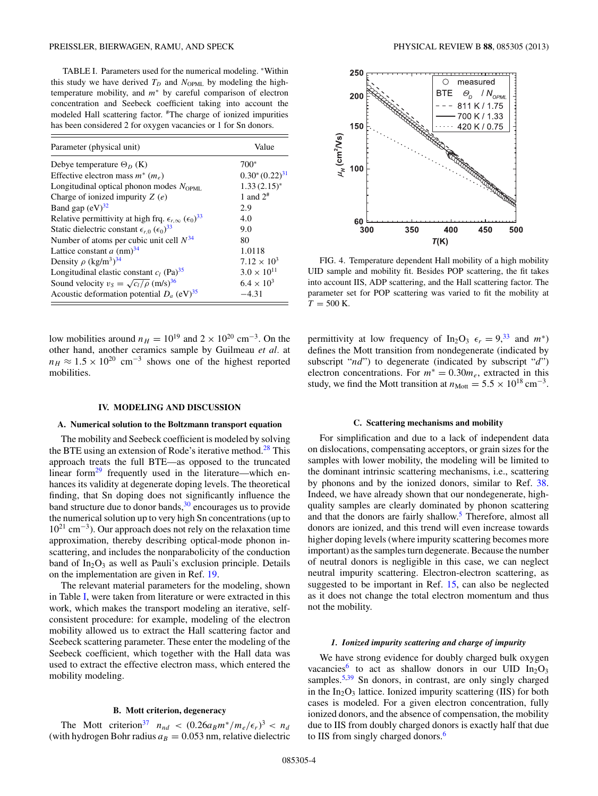<span id="page-3-0"></span>TABLE I. Parameters used for the numerical modeling. <sup>∗</sup>Within this study we have derived  $T_D$  and  $N_{\text{OPML}}$  by modeling the hightemperature mobility, and *m*<sup>∗</sup> by careful comparison of electron concentration and Seebeck coefficient taking into account the modeled Hall scattering factor. #The charge of ionized impurities has been considered 2 for oxygen vacancies or 1 for Sn donors.

| Parameter (physical unit)                                                               | Value                |
|-----------------------------------------------------------------------------------------|----------------------|
| Debye temperature $\Theta_D$ (K)                                                        | 700*                 |
| Effective electron mass $m^*(m_e)$                                                      | $0.30*(0.22)^{31}$   |
| Longitudinal optical phonon modes $N_{\text{OPMI}}$ .                                   | $1.33(2.15)$ *       |
| Charge of ionized impurity $Z(e)$                                                       | 1 and $2^{\#}$       |
| Band gap $(eV)^{32}$                                                                    | 2.9                  |
| Relative permittivity at high frq. $\epsilon_{r,\infty}$ ( $\epsilon_0$ ) <sup>33</sup> | 4.0                  |
| Static dielectric constant $\epsilon_{r,0}$ ( $\epsilon_0$ ) <sup>33</sup>              | 9.0                  |
| Number of atoms per cubic unit cell $N^{34}$                                            | 80                   |
| Lattice constant a $(nm)^{34}$                                                          | 1.0118               |
| Density $\rho$ (kg/m <sup>3</sup> ) <sup>34</sup>                                       | $7.12 \times 10^3$   |
| Longitudinal elastic constant $c_1$ (Pa) <sup>35</sup>                                  | $3.0 \times 10^{11}$ |
| Sound velocity $v_s = \sqrt{c_l/\rho}$ (m/s) <sup>36</sup>                              | $6.4 \times 10^{3}$  |
| Acoustic deformation potential $D_a$ (eV) <sup>35</sup>                                 | $-4.31$              |

low mobilities around  $n_H = 10^{19}$  and  $2 \times 10^{20}$  cm<sup>-3</sup>. On the other hand, another ceramics sample by Guilmeau *et al.* at  $n_H \approx 1.5 \times 10^{20}$  cm<sup>-3</sup> shows one of the highest reported mobilities.

#### **IV. MODELING AND DISCUSSION**

#### **A. Numerical solution to the Boltzmann transport equation**

The mobility and Seebeck coefficient is modeled by solving the BTE using an extension of Rode's iterative method.<sup>[28](#page-9-0)</sup> This approach treats the full BTE—as opposed to the truncated linear form<sup>[29](#page-9-0)</sup> frequently used in the literature—which enhances its validity at degenerate doping levels. The theoretical finding, that Sn doping does not significantly influence the band structure due to donor bands,  $30$  encourages us to provide the numerical solution up to very high Sn concentrations (up to 1021 cm−3). Our approach does not rely on the relaxation time approximation, thereby describing optical-mode phonon inscattering, and includes the nonparabolicity of the conduction band of  $In_2O_3$  as well as Pauli's exclusion principle. Details on the implementation are given in Ref. [19.](#page-9-0)

The relevant material parameters for the modeling, shown in Table I, were taken from literature or were extracted in this work, which makes the transport modeling an iterative, selfconsistent procedure: for example, modeling of the electron mobility allowed us to extract the Hall scattering factor and Seebeck scattering parameter. These enter the modeling of the Seebeck coefficient, which together with the Hall data was used to extract the effective electron mass, which entered the mobility modeling.

### **B. Mott criterion, degeneracy**

The Mott criterion<sup>[37](#page-9-0)</sup>  $n_{nd} < (0.26a_B m^* / m_e / \epsilon_r)^3 < n_d$ (with hydrogen Bohr radius  $a_B = 0.053$  nm, relative dielectric



FIG. 4. Temperature dependent Hall mobility of a high mobility UID sample and mobility fit. Besides POP scattering, the fit takes into account IIS, ADP scattering, and the Hall scattering factor. The parameter set for POP scattering was varied to fit the mobility at  $T = 500$  K.

permittivity at low frequency of In<sub>2</sub>O<sub>3</sub>  $\epsilon_r = 9^{33}$  $\epsilon_r = 9^{33}$  $\epsilon_r = 9^{33}$  and  $m^*$ ) defines the Mott transition from nondegenerate (indicated by subscript "*nd*") to degenerate (indicated by subscript "*d*") electron concentrations. For  $m^* = 0.30m_e$ , extracted in this study, we find the Mott transition at  $n_{\text{Mott}} = 5.5 \times 10^{18} \text{ cm}^{-3}$ .

#### **C. Scattering mechanisms and mobility**

For simplification and due to a lack of independent data on dislocations, compensating acceptors, or grain sizes for the samples with lower mobility, the modeling will be limited to the dominant intrinsic scattering mechanisms, i.e., scattering by phonons and by the ionized donors, similar to Ref. [38.](#page-9-0) Indeed, we have already shown that our nondegenerate, highquality samples are clearly dominated by phonon scattering and that the donors are fairly shallow.<sup>[5](#page-8-0)</sup> Therefore, almost all donors are ionized, and this trend will even increase towards higher doping levels (where impurity scattering becomes more important) as the samples turn degenerate. Because the number of neutral donors is negligible in this case, we can neglect neutral impurity scattering. Electron-electron scattering, as suggested to be important in Ref. [15,](#page-9-0) can also be neglected as it does not change the total electron momentum and thus not the mobility.

### *1. Ionized impurity scattering and charge of impurity*

We have strong evidence for doubly charged bulk oxygen vacancies<sup>[6](#page-8-0)</sup> to act as shallow donors in our UID  $In<sub>2</sub>O<sub>3</sub>$ samples.<sup>5,[39](#page-9-0)</sup> Sn donors, in contrast, are only singly charged in the  $In_2O_3$  lattice. Ionized impurity scattering (IIS) for both cases is modeled. For a given electron concentration, fully ionized donors, and the absence of compensation, the mobility due to IIS from doubly charged donors is exactly half that due to IIS from singly charged donors.<sup>6</sup>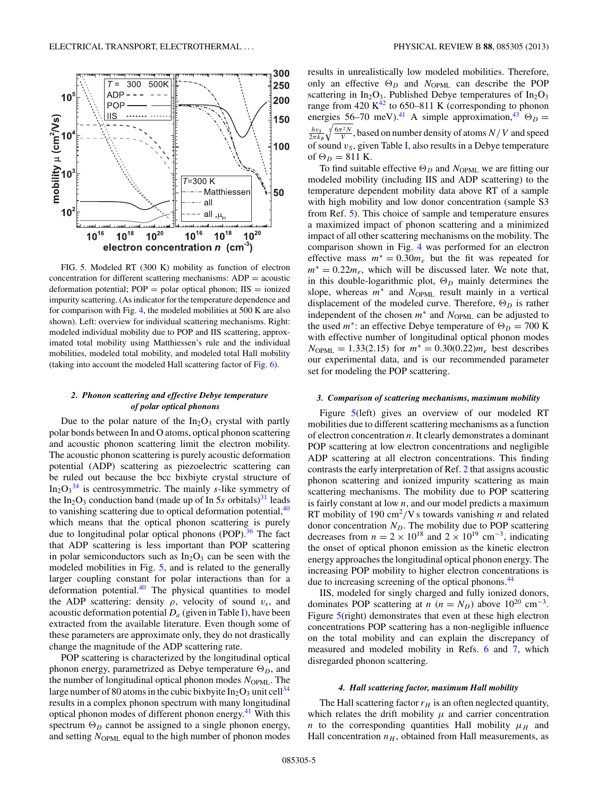<span id="page-4-0"></span>

FIG. 5. Modeled RT (300 K) mobility as function of electron concentration for different scattering mechanisms:  $ADP = a$ coustic deformation potential;  $POP = polar$  optical phonon;  $IIS = ionized$ impurity scattering. (As indicator for the temperature dependence and for comparison with Fig. [4,](#page-3-0) the modeled mobilities at 500 K are also shown). Left: overview for individual scattering mechanisms. Right: modeled individual mobility due to POP and IIS scattering, approximated total mobility using Matthiessen's rule and the individual mobilities, modeled total mobility, and modeled total Hall mobility (taking into account the modeled Hall scattering factor of Fig. [6\)](#page-5-0).

# *2. Phonon scattering and effective Debye temperature of polar optical phonons*

Due to the polar nature of the  $In_2O_3$  crystal with partly polar bonds between In and O atoms, optical phonon scattering and acoustic phonon scattering limit the electron mobility. The acoustic phonon scattering is purely acoustic deformation potential (ADP) scattering as piezoelectric scattering can be ruled out because the bcc bixbiyte crystal structure of  $In_2O_3^{34}$  $In_2O_3^{34}$  $In_2O_3^{34}$  is centrosymmetric. The mainly *s*-like symmetry of the In<sub>2</sub>O<sub>3</sub> conduction band (made up of In 5*s* orbitals)<sup>[31](#page-9-0)</sup> leads to vanishing scattering due to optical deformation potential, <sup>40</sup> which means that the optical phonon scattering is purely due to longitudinal polar optical phonons (POP). $36$  The fact that ADP scattering is less important than POP scattering in polar semiconductors such as  $In_2O_3$  can be seen with the modeled mobilities in Fig. 5, and is related to the generally larger coupling constant for polar interactions than for a deformation potential. $40$  The physical quantities to model the ADP scattering: density  $\rho$ , velocity of sound  $v_s$ , and acoustic deformation potential  $D_a$  (given in Table [I\)](#page-3-0), have been extracted from the available literature. Even though some of these parameters are approximate only, they do not drastically change the magnitude of the ADP scattering rate.

POP scattering is characterized by the longitudinal optical phonon energy, parametrized as Debye temperature  $\Theta_D$ , and the number of longitudinal optical phonon modes  $N_{\text{OPML}}$ . The large number of 80 atoms in the cubic bixbyite  $In_2O_3$  unit cell<sup>[34](#page-9-0)</sup> results in a complex phonon spectrum with many longitudinal optical phonon modes of different phonon energy.<sup>41</sup> With this spectrum  $\Theta_D$  cannot be assigned to a single phonon energy, and setting *N*<sub>OPML</sub> equal to the high number of phonon modes results in unrealistically low modeled mobilities. Therefore, only an effective  $\Theta_D$  and  $N_{OPML}$  can describe the POP scattering in  $In_2O_3$ . Published Debye temperatures of  $In_2O_3$ range from 420  $K^{42}$  to 650–811 K (corresponding to phonon energies 56–70 meV).<sup>[41](#page-9-0)</sup> A simple approximation,<sup>[43](#page-9-0)</sup>  $\Theta_D =$  $\frac{hv_S}{2\pi k_B}$   $\sqrt[3]{\frac{6\pi^2 N}{V}}$ , based on number density of atoms  $N/V$  and speed of sound  $v_S$ , given Table [I,](#page-3-0) also results in a Debye temperature of  $\Theta_D = 811$  K.

To find suitable effective  $\Theta_D$  and  $N_{OPML}$  we are fitting our modeled mobility (including IIS and ADP scattering) to the temperature dependent mobility data above RT of a sample with high mobility and low donor concentration (sample S3) from Ref. [5\)](#page-8-0). This choice of sample and temperature ensures a maximized impact of phonon scattering and a minimized impact of all other scattering mechanisms on the mobility. The comparison shown in Fig. [4](#page-3-0) was performed for an electron effective mass  $m^* = 0.30m_e$  but the fit was repeated for  $m<sup>*</sup> = 0.22m<sub>e</sub>$ , which will be discussed later. We note that, in this double-logarithmic plot,  $\Theta_D$  mainly determines the slope, whereas  $m$ <sup>∗</sup> and  $N_{OPML}$  result mainly in a vertical displacement of the modeled curve. Therefore,  $\Theta_D$  is rather independent of the chosen  $m^*$  and  $N_{\text{OPML}}$  can be adjusted to the used  $m^*$ : an effective Debye temperature of  $\Theta_D = 700 \text{ K}$ with effective number of longitudinal optical phonon modes  $N_{\text{OPML}} = 1.33(2.15)$  for  $m^* = 0.30(0.22) m_e$  best describes our experimental data, and is our recommended parameter set for modeling the POP scattering.

#### *3. Comparison of scattering mechanisms, maximum mobility*

Figure 5(left) gives an overview of our modeled RT mobilities due to different scattering mechanisms as a function of electron concentration *n*. It clearly demonstrates a dominant POP scattering at low electron concentrations and negligible ADP scattering at all electron concentrations. This finding contrasts the early interpretation of Ref. [2](#page-8-0) that assigns acoustic phonon scattering and ionized impurity scattering as main scattering mechanisms. The mobility due to POP scattering is fairly constant at low *n*, and our model predicts a maximum RT mobility of 190 cm<sup>2</sup>/V s towards vanishing *n* and related donor concentration  $N_D$ . The mobility due to POP scattering decreases from  $n = 2 \times 10^{18}$  and  $2 \times 10^{19}$  cm<sup>-3</sup>, indicating the onset of optical phonon emission as the kinetic electron energy approaches the longitudinal optical phonon energy. The increasing POP mobility to higher electron concentrations is due to increasing screening of the optical phonons.<sup>44</sup>

IIS, modeled for singly charged and fully ionized donors, dominates POP scattering at *n* ( $n = N_D$ ) above 10<sup>20</sup> cm<sup>-3</sup>. Figure 5(right) demonstrates that even at these high electron concentrations POP scattering has a non-negligible influence on the total mobility and can explain the discrepancy of measured and modeled mobility in Refs. [6](#page-8-0) and [7,](#page-8-0) which disregarded phonon scattering.

### *4. Hall scattering factor, maximum Hall mobility*

The Hall scattering factor  $r_H$  is an often neglected quantity, which relates the drift mobility  $\mu$  and carrier concentration *n* to the corresponding quantities Hall mobility  $\mu_H$  and Hall concentration  $n_H$ , obtained from Hall measurements, as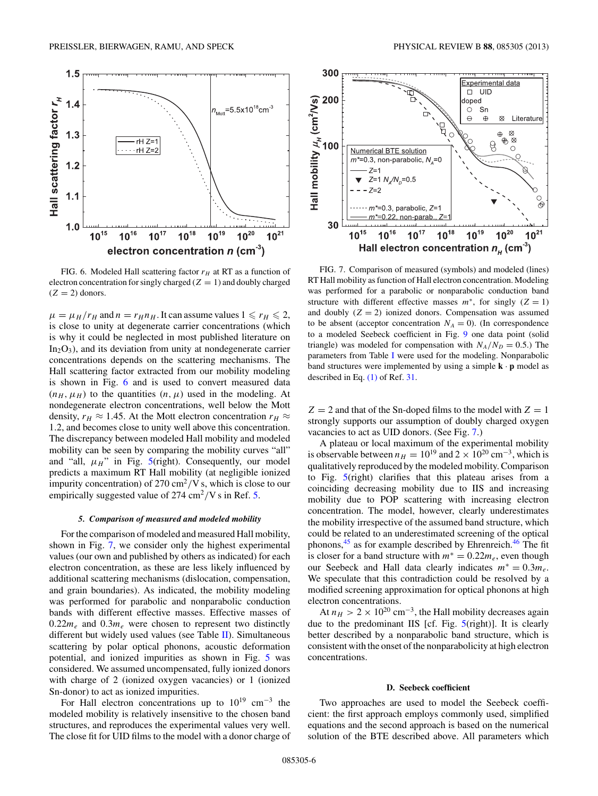<span id="page-5-0"></span>

FIG. 6. Modeled Hall scattering factor  $r_H$  at RT as a function of electron concentration for singly charged  $(Z = 1)$  and doubly charged  $(Z = 2)$  donors.

 $\mu = \mu_H / r_H$  and  $n = r_H n_H$ . It can assume values  $1 \le r_H \le 2$ , is close to unity at degenerate carrier concentrations (which is why it could be neglected in most published literature on  $In_2O_3$ ), and its deviation from unity at nondegenerate carrier concentrations depends on the scattering mechanisms. The Hall scattering factor extracted from our mobility modeling is shown in Fig. 6 and is used to convert measured data  $(n_H, \mu_H)$  to the quantities  $(n, \mu)$  used in the modeling. At nondegenerate electron concentrations, well below the Mott density,  $r_H \approx 1.45$ . At the Mott electron concentration  $r_H \approx$ 1*.*2, and becomes close to unity well above this concentration. The discrepancy between modeled Hall mobility and modeled mobility can be seen by comparing the mobility curves "all" and "all,  $\mu_H$ " in Fig.  $5$ (right). Consequently, our model predicts a maximum RT Hall mobility (at negligible ionized impurity concentration) of 270 cm2*/*V s, which is close to our empirically suggested value of 274 cm<sup>2</sup>*/*V s in Ref. [5.](#page-8-0)

#### *5. Comparison of measured and modeled mobility*

For the comparison of modeled and measured Hall mobility, shown in Fig. 7, we consider only the highest experimental values (our own and published by others as indicated) for each electron concentration, as these are less likely influenced by additional scattering mechanisms (dislocation, compensation, and grain boundaries). As indicated, the mobility modeling was performed for parabolic and nonparabolic conduction bands with different effective masses. Effective masses of  $0.22m_e$  and  $0.3m_e$  were chosen to represent two distinctly different but widely used values (see Table [II\)](#page-7-0). Simultaneous scattering by polar optical phonons, acoustic deformation potential, and ionized impurities as shown in Fig. [5](#page-4-0) was considered. We assumed uncompensated, fully ionized donors with charge of 2 (ionized oxygen vacancies) or 1 (ionized Sn-donor) to act as ionized impurities.

For Hall electron concentrations up to  $10^{19}$  cm<sup>-3</sup> the modeled mobility is relatively insensitive to the chosen band structures, and reproduces the experimental values very well. The close fit for UID films to the model with a donor charge of



FIG. 7. Comparison of measured (symbols) and modeled (lines) RT Hall mobility as function of Hall electron concentration. Modeling was performed for a parabolic or nonparabolic conduction band structure with different effective masses  $m^*$ , for singly  $(Z = 1)$ and doubly  $(Z = 2)$  ionized donors. Compensation was assumed to be absent (acceptor concentration  $N_A = 0$ ). (In correspondence to a modeled Seebeck coefficient in Fig. [9](#page-7-0) one data point (solid triangle) was modeled for compensation with  $N_A/N_D = 0.5$ .) The parameters from Table [I](#page-3-0) were used for the modeling. Nonparabolic band structures were implemented by using a simple **k** · **p** model as described in Eq. [\(1\)](#page-2-0) of Ref. [31.](#page-9-0)

 $Z = 2$  and that of the Sn-doped films to the model with  $Z = 1$ strongly supports our assumption of doubly charged oxygen vacancies to act as UID donors. (See Fig. 7.)

A plateau or local maximum of the experimental mobility is observable between  $n_H = 10^{19}$  and  $2 \times 10^{20}$  cm<sup>-3</sup>, which is qualitatively reproduced by the modeled mobility. Comparison to Fig. [5\(](#page-4-0)right) clarifies that this plateau arises from a coinciding decreasing mobility due to IIS and increasing mobility due to POP scattering with increasing electron concentration. The model, however, clearly underestimates the mobility irrespective of the assumed band structure, which could be related to an underestimated screening of the optical phonons, $45$  as for example described by Ehrenreich. $46$  The fit is closer for a band structure with  $m^* = 0.22m_e$ , even though our Seebeck and Hall data clearly indicates  $m^* = 0.3m_e$ . We speculate that this contradiction could be resolved by a modified screening approximation for optical phonons at high electron concentrations.

At  $n_H > 2 \times 10^{20}$  cm<sup>-3</sup>, the Hall mobility decreases again due to the predominant IIS [cf. Fig.  $5$ (right)]. It is clearly better described by a nonparabolic band structure, which is consistent with the onset of the nonparabolicity at high electron concentrations.

### **D. Seebeck coefficient**

Two approaches are used to model the Seebeck coefficient: the first approach employs commonly used, simplified equations and the second approach is based on the numerical solution of the BTE described above. All parameters which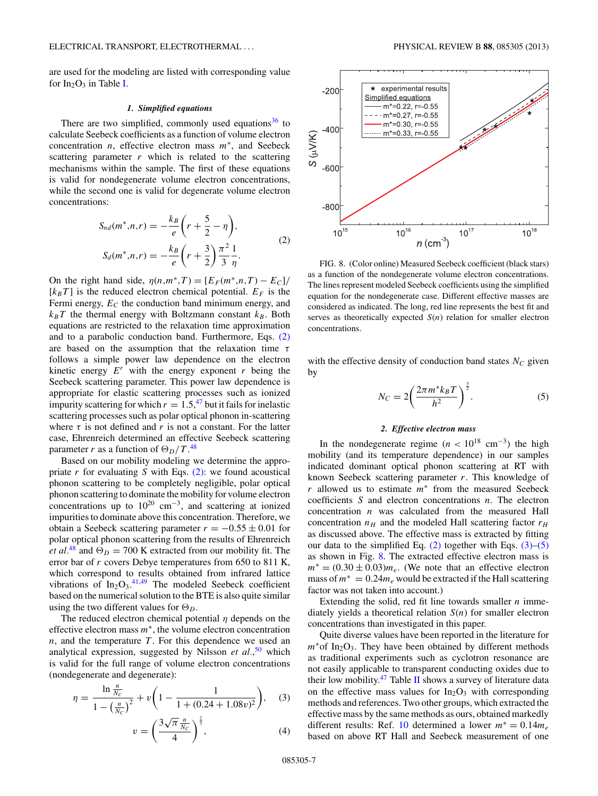<span id="page-6-0"></span>are used for the modeling are listed with corresponding value for  $In_2O_3$  in Table [I.](#page-3-0)

#### *1. Simplified equations*

There are two simplified, commonly used equations<sup>[36](#page-9-0)</sup> to calculate Seebeck coefficients as a function of volume electron concentration *n*, effective electron mass *m*∗, and Seebeck scattering parameter  $r$  which is related to the scattering mechanisms within the sample. The first of these equations is valid for nondegenerate volume electron concentrations, while the second one is valid for degenerate volume electron concentrations:

$$
S_{nd}(m^*, n, r) = -\frac{k_B}{e} \left( r + \frac{5}{2} - \eta \right),
$$
  
\n
$$
S_d(m^*, n, r) = -\frac{k_B}{e} \left( r + \frac{3}{2} \right) \frac{\pi^2}{3} \frac{1}{\eta}.
$$
\n(2)

On the right hand side,  $\eta(n,m^*,T) = [E_F(m^*,n,T) - E_C]$ /  $[k_B T]$  is the reduced electron chemical potential.  $E_F$  is the Fermi energy,  $E_C$  the conduction band minimum energy, and  $k_B T$  the thermal energy with Boltzmann constant  $k_B$ . Both equations are restricted to the relaxation time approximation and to a parabolic conduction band. Furthermore, Eqs. (2) are based on the assumption that the relaxation time *τ* follows a simple power law dependence on the electron kinetic energy  $E^r$  with the energy exponent  $r$  being the Seebeck scattering parameter. This power law dependence is appropriate for elastic scattering processes such as ionized impurity scattering for which  $r = 1.5$ , <sup>[47](#page-9-0)</sup> but it fails for inelastic scattering processes such as polar optical phonon in-scattering where  $\tau$  is not defined and  $r$  is not a constant. For the latter case, Ehrenreich determined an effective Seebeck scattering parameter *r* as a function of  $\Theta_D/T$ .<sup>[48](#page-9-0)</sup>

Based on our mobility modeling we determine the appropriate  $r$  for evaluating  $S$  with Eqs.  $(2)$ : we found acoustical phonon scattering to be completely negligible, polar optical phonon scattering to dominate the mobility for volume electron concentrations up to  $10^{20}$  cm<sup>-3</sup>, and scattering at ionized impurities to dominate above this concentration. Therefore, we obtain a Seebeck scattering parameter  $r = -0.55 \pm 0.01$  for polar optical phonon scattering from the results of Ehrenreich *et al.*<sup>[48](#page-9-0)</sup> and  $\Theta_D = 700$  K extracted from our mobility fit. The error bar of *r* covers Debye temperatures from 650 to 811 K, which correspond to results obtained from infrared lattice vibrations of  $In_2O_3$ .<sup>[41,49](#page-9-0)</sup> The modeled Seebeck coefficient based on the numerical solution to the BTE is also quite similar using the two different values for  $\Theta_D$ .

The reduced electron chemical potential *η* depends on the effective electron mass *m*∗, the volume electron concentration *n*, and the temperature *T* . For this dependence we used an analytical expression, suggested by Nilsson *et al.*, [50](#page-9-0) which is valid for the full range of volume electron concentrations (nondegenerate and degenerate):

$$
\eta = \frac{\ln \frac{n}{Nc}}{1 - \left(\frac{n}{Nc}\right)^2} + v \left(1 - \frac{1}{1 + (0.24 + 1.08v)^2}\right), \quad (3)
$$

$$
v = \left(\frac{3\sqrt{\pi} \frac{n}{N_C}}{4}\right)^{\frac{2}{3}},\tag{4}
$$



FIG. 8. (Color online) Measured Seebeck coefficient (black stars) as a function of the nondegenerate volume electron concentrations. The lines represent modeled Seebeck coefficients using the simplified equation for the nondegenerate case. Different effective masses are considered as indicated. The long, red line represents the best fit and serves as theoretically expected *S*(*n*) relation for smaller electron concentrations.

with the effective density of conduction band states  $N_c$  given by

$$
N_C = 2\left(\frac{2\pi m^* k_B T}{h^2}\right)^{\frac{3}{2}}.
$$
 (5)

### *2. Effective electron mass*

In the nondegenerate regime  $(n < 10^{18} \text{ cm}^{-3})$  the high mobility (and its temperature dependence) in our samples indicated dominant optical phonon scattering at RT with known Seebeck scattering parameter *r*. This knowledge of *r* allowed us to estimate *m*<sup>∗</sup> from the measured Seebeck coefficients *S* and electron concentrations *n*. The electron concentration *n* was calculated from the measured Hall concentration  $n_H$  and the modeled Hall scattering factor  $r_H$ as discussed above. The effective mass is extracted by fitting our data to the simplified Eq.  $(2)$  together with Eqs.  $(3)$ – $(5)$ as shown in Fig. 8. The extracted effective electron mass is  $m^* = (0.30 \pm 0.03)m_e$ . (We note that an effective electron mass of  $m^* = 0.24 m_e$  would be extracted if the Hall scattering factor was not taken into account.)

Extending the solid, red fit line towards smaller *n* immediately yields a theoretical relation *S*(*n*) for smaller electron concentrations than investigated in this paper.

Quite diverse values have been reported in the literature for *m*<sup>∗</sup>of In<sub>2</sub>O<sub>3</sub>. They have been obtained by different methods as traditional experiments such as cyclotron resonance are not easily applicable to transparent conducting oxides due to their low mobility. $47$  Table [II](#page-7-0) shows a survey of literature data on the effective mass values for  $In_2O_3$  with corresponding methods and references. Two other groups, which extracted the effective mass by the same methods as ours, obtained markedly different results: Ref. [10](#page-9-0) determined a lower  $m^* = 0.14 m_e$ based on above RT Hall and Seebeck measurement of one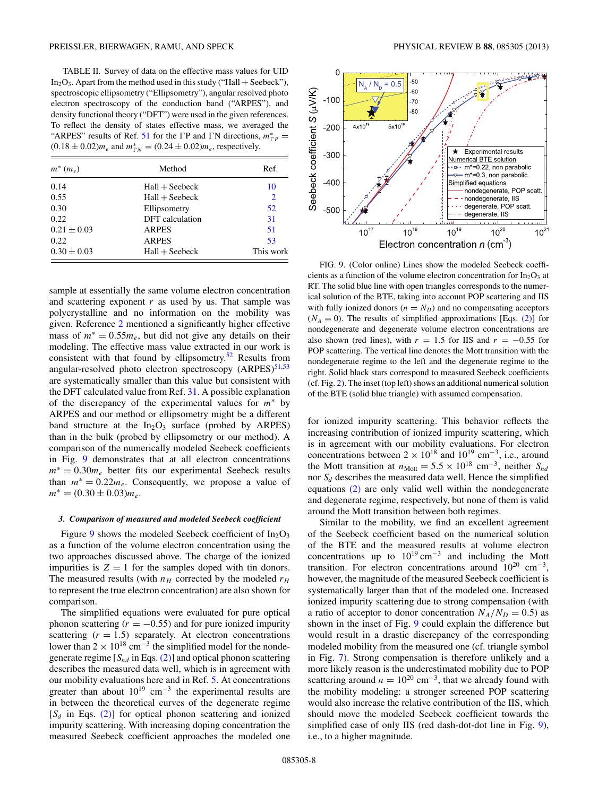<span id="page-7-0"></span>TABLE II. Survey of data on the effective mass values for UID  $In_2O_3$ . Apart from the method used in this study ("Hall + Seebeck"), spectroscopic ellipsometry ("Ellipsometry"), angular resolved photo electron spectroscopy of the conduction band ("ARPES"), and density functional theory ("DFT") were used in the given references. To reflect the density of states effective mass, we averaged the "ARPES" results of Ref. [51](#page-9-0) for the  $\Gamma$ P and  $\Gamma$ N directions,  $m_{\Gamma}^* =$  $(0.18 \pm 0.02) m_e$  and  $m_{\text{TN}}^* = (0.24 \pm 0.02) m_e$ , respectively.

| $m^*(m_e)$      | Method           | Ref.           |
|-----------------|------------------|----------------|
| 0.14            | $Hall + Seebeck$ | 10             |
| 0.55            | $Hall + Seebeck$ | $\overline{2}$ |
| 0.30            | Ellipsometry     | 52             |
| 0.22            | DFT calculation  | 31             |
| $0.21 \pm 0.03$ | <b>ARPES</b>     | 51             |
| 0.22            | <b>ARPES</b>     | 53             |
| $0.30 \pm 0.03$ | $Hall + Seebeck$ | This work      |

sample at essentially the same volume electron concentration and scattering exponent *r* as used by us. That sample was polycrystalline and no information on the mobility was given. Reference [2](#page-8-0) mentioned a significantly higher effective mass of  $m^* = 0.55m_e$ , but did not give any details on their modeling. The effective mass value extracted in our work is consistent with that found by ellipsometry. $52$  Results from angular-resolved photo electron spectroscopy  $(ARPES)^{51,53}$  $(ARPES)^{51,53}$  $(ARPES)^{51,53}$ are systematically smaller than this value but consistent with the DFT calculated value from Ref. [31.](#page-9-0) A possible explanation of the discrepancy of the experimental values for *m*<sup>∗</sup> by ARPES and our method or ellipsometry might be a different band structure at the  $In_2O_3$  surface (probed by ARPES) than in the bulk (probed by ellipsometry or our method). A comparison of the numerically modeled Seebeck coefficients in Fig. 9 demonstrates that at all electron concentrations *m*<sup>∗</sup> = 0.30*m*<sub>*e*</sub> better fits our experimental Seebeck results than  $m^* = 0.22m_e$ . Consequently, we propose a value of  $m^* = (0.30 \pm 0.03) m_e$ .

#### *3. Comparison of measured and modeled Seebeck coefficient*

Figure 9 shows the modeled Seebeck coefficient of  $In_2O_3$ as a function of the volume electron concentration using the two approaches discussed above. The charge of the ionized impurities is  $Z = 1$  for the samples doped with tin donors. The measured results (with  $n_H$  corrected by the modeled  $r_H$ to represent the true electron concentration) are also shown for comparison.

The simplified equations were evaluated for pure optical phonon scattering  $(r = -0.55)$  and for pure ionized impurity scattering  $(r = 1.5)$  separately. At electron concentrations lower than  $2 \times 10^{18}$  cm<sup>-3</sup> the simplified model for the nondegenerate regime  $[S_{nd}$  in Eqs. [\(2\)\]](#page-6-0) and optical phonon scattering describes the measured data well, which is in agreement with our mobility evaluations here and in Ref. [5.](#page-8-0) At concentrations greater than about  $10^{19}$  cm<sup>-3</sup> the experimental results are in between the theoretical curves of the degenerate regime  $[S_d$  in Eqs. [\(2\)\]](#page-6-0) for optical phonon scattering and ionized impurity scattering. With increasing doping concentration the measured Seebeck coefficient approaches the modeled one



FIG. 9. (Color online) Lines show the modeled Seebeck coefficients as a function of the volume electron concentration for  $In_2O_3$  at RT. The solid blue line with open triangles corresponds to the numerical solution of the BTE, taking into account POP scattering and IIS with fully ionized donors  $(n = N_D)$  and no compensating acceptors  $(N_A = 0)$ . The results of simplified approximations [Eqs. [\(2\)\]](#page-6-0) for nondegenerate and degenerate volume electron concentrations are also shown (red lines), with  $r = 1.5$  for IIS and  $r = -0.55$  for POP scattering. The vertical line denotes the Mott transition with the nondegenerate regime to the left and the degenerate regime to the right. Solid black stars correspond to measured Seebeck coefficients (cf. Fig. [2\)](#page-2-0). The inset (top left) shows an additional numerical solution of the BTE (solid blue triangle) with assumed compensation.

for ionized impurity scattering. This behavior reflects the increasing contribution of ionized impurity scattering, which is in agreement with our mobility evaluations. For electron concentrations between  $2 \times 10^{18}$  and  $10^{19}$  cm<sup>-3</sup>, i.e., around the Mott transition at  $n_{\text{Mott}} = 5.5 \times 10^{18} \text{ cm}^{-3}$ , neither  $S_{nd}$ nor  $S_d$  describes the measured data well. Hence the simplified equations [\(2\)](#page-6-0) are only valid well within the nondegenerate and degenerate regime, respectively, but none of them is valid around the Mott transition between both regimes.

Similar to the mobility, we find an excellent agreement of the Seebeck coefficient based on the numerical solution of the BTE and the measured results at volume electron concentrations up to  $10^{19}$  cm<sup>-3</sup> and including the Mott transition. For electron concentrations around  $10^{20}$  cm<sup>-3</sup>, however, the magnitude of the measured Seebeck coefficient is systematically larger than that of the modeled one. Increased ionized impurity scattering due to strong compensation (with a ratio of acceptor to donor concentration  $N_A/N_D = 0.5$ ) as shown in the inset of Fig. 9 could explain the difference but would result in a drastic discrepancy of the corresponding modeled mobility from the measured one (cf. triangle symbol in Fig. [7\)](#page-5-0). Strong compensation is therefore unlikely and a more likely reason is the underestimated mobility due to POP scattering around  $n = 10^{20}$  cm<sup>-3</sup>, that we already found with the mobility modeling: a stronger screened POP scattering would also increase the relative contribution of the IIS, which should move the modeled Seebeck coefficient towards the simplified case of only IIS (red dash-dot-dot line in Fig. 9), i.e., to a higher magnitude.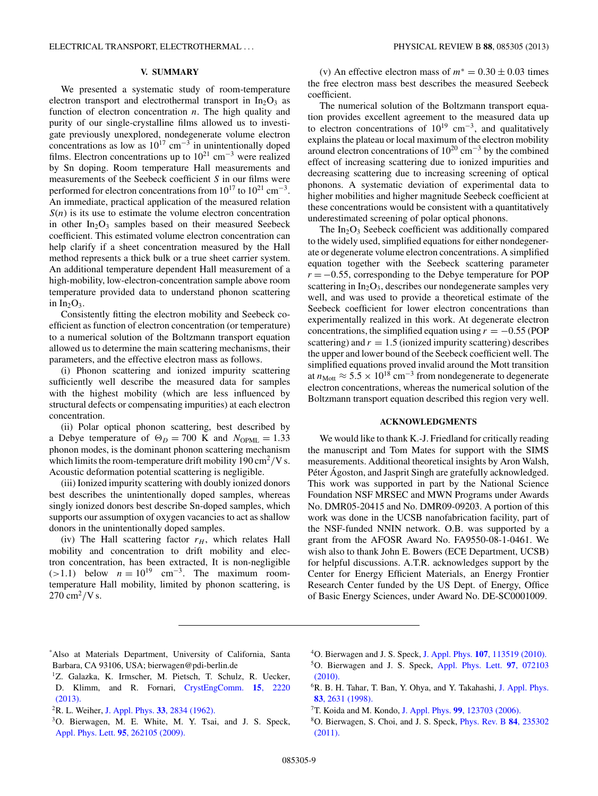### **V. SUMMARY**

<span id="page-8-0"></span>We presented a systematic study of room-temperature electron transport and electrothermal transport in  $In_2O_3$  as function of electron concentration *n*. The high quality and purity of our single-crystalline films allowed us to investigate previously unexplored, nondegenerate volume electron concentrations as low as  $10^{17}$  cm<sup>-3</sup> in unintentionally doped films. Electron concentrations up to  $10^{21}$  cm<sup>-3</sup> were realized by Sn doping. Room temperature Hall measurements and measurements of the Seebeck coefficient *S* in our films were performed for electron concentrations from  $10^{17}$  to  $10^{21}$  cm<sup>-3</sup>. An immediate, practical application of the measured relation  $S(n)$  is its use to estimate the volume electron concentration in other  $In_2O_3$  samples based on their measured Seebeck coefficient. This estimated volume electron concentration can help clarify if a sheet concentration measured by the Hall method represents a thick bulk or a true sheet carrier system. An additional temperature dependent Hall measurement of a high-mobility, low-electron-concentration sample above room temperature provided data to understand phonon scattering in  $In_2O_3$ .

Consistently fitting the electron mobility and Seebeck coefficient as function of electron concentration (or temperature) to a numerical solution of the Boltzmann transport equation allowed us to determine the main scattering mechanisms, their parameters, and the effective electron mass as follows.

(i) Phonon scattering and ionized impurity scattering sufficiently well describe the measured data for samples with the highest mobility (which are less influenced by structural defects or compensating impurities) at each electron concentration.

(ii) Polar optical phonon scattering, best described by a Debye temperature of  $\Theta_D = 700$  K and  $N_{\text{OPML}} = 1.33$ phonon modes, is the dominant phonon scattering mechanism which limits the room-temperature drift mobility 190 cm<sup>2</sup>/V s. Acoustic deformation potential scattering is negligible.

(iii) Ionized impurity scattering with doubly ionized donors best describes the unintentionally doped samples, whereas singly ionized donors best describe Sn-doped samples, which supports our assumption of oxygen vacancies to act as shallow donors in the unintentionally doped samples.

(iv) The Hall scattering factor  $r_H$ , which relates Hall mobility and concentration to drift mobility and electron concentration, has been extracted, It is non-negligible  $(>1.1)$  below  $n = 10^{19}$  cm<sup>-3</sup>. The maximum roomtemperature Hall mobility, limited by phonon scattering, is  $270 \text{ cm}^2/\text{V s}.$ 

(v) An effective electron mass of  $m^* = 0.30 \pm 0.03$  times the free electron mass best describes the measured Seebeck coefficient.

The numerical solution of the Boltzmann transport equation provides excellent agreement to the measured data up to electron concentrations of  $10^{19}$  cm<sup>-3</sup>, and qualitatively explains the plateau or local maximum of the electron mobility around electron concentrations of  $10^{20}$  cm<sup>-3</sup> by the combined effect of increasing scattering due to ionized impurities and decreasing scattering due to increasing screening of optical phonons. A systematic deviation of experimental data to higher mobilities and higher magnitude Seebeck coefficient at these concentrations would be consistent with a quantitatively underestimated screening of polar optical phonons.

The  $In_2O_3$  Seebeck coefficient was additionally compared to the widely used, simplified equations for either nondegenerate or degenerate volume electron concentrations. A simplified equation together with the Seebeck scattering parameter *r* = −0.55, corresponding to the Debye temperature for POP scattering in  $In_2O_3$ , describes our nondegenerate samples very well, and was used to provide a theoretical estimate of the Seebeck coefficient for lower electron concentrations than experimentally realized in this work. At degenerate electron concentrations, the simplified equation using  $r = -0.55$  (POP scattering) and  $r = 1.5$  (ionized impurity scattering) describes the upper and lower bound of the Seebeck coefficient well. The simplified equations proved invalid around the Mott transition at  $n_{\text{Mott}} \approx 5.5 \times 10^{18} \text{ cm}^{-3}$  from nondegenerate to degenerate electron concentrations, whereas the numerical solution of the Boltzmann transport equation described this region very well.

#### **ACKNOWLEDGMENTS**

We would like to thank K.-J. Friedland for critically reading the manuscript and Tom Mates for support with the SIMS measurements. Additional theoretical insights by Aron Walsh, Péter Ágoston, and Jasprit Singh are gratefully acknowledged. This work was supported in part by the National Science Foundation NSF MRSEC and MWN Programs under Awards No. DMR05-20415 and No. DMR09-09203. A portion of this work was done in the UCSB nanofabrication facility, part of the NSF-funded NNIN network. O.B. was supported by a grant from the AFOSR Award No. FA9550-08-1-0461. We wish also to thank John E. Bowers (ECE Department, UCSB) for helpful discussions. A.T.R. acknowledges support by the Center for Energy Efficient Materials, an Energy Frontier Research Center funded by the US Dept. of Energy, Office of Basic Energy Sciences, under Award No. DE-SC0001009.

- <sup>1</sup>Z. Galazka, K. Irmscher, M. Pietsch, T. Schulz, R. Uecker, D. Klimm, and R. Fornari, [CrystEngComm.](http://dx.doi.org/10.1039/c2ce26413g) **15**, 2220 [\(2013\).](http://dx.doi.org/10.1039/c2ce26413g)
- 2R. L. Weiher, J. Appl. Phys. **33**[, 2834 \(1962\).](http://dx.doi.org/10.1063/1.1702560)
- 3O. Bierwagen, M. E. White, M. Y. Tsai, and J. S. Speck, [Appl. Phys. Lett.](http://dx.doi.org/10.1063/1.3276910) **95**, 262105 (2009).
- 4O. Bierwagen and J. S. Speck, J. Appl. Phys. **107**[, 113519 \(2010\).](http://dx.doi.org/10.1063/1.3415539)
- 5O. Bierwagen and J. S. Speck, [Appl. Phys. Lett.](http://dx.doi.org/10.1063/1.3480416) **97**, 072103 [\(2010\).](http://dx.doi.org/10.1063/1.3480416)
- 6R. B. H. Tahar, T. Ban, Y. Ohya, and Y. Takahashi, [J. Appl. Phys.](http://dx.doi.org/10.1063/1.367025) **83**[, 2631 \(1998\).](http://dx.doi.org/10.1063/1.367025)
- 7T. Koida and M. Kondo, J. Appl. Phys. **99**[, 123703 \(2006\).](http://dx.doi.org/10.1063/1.2203722)

<sup>\*</sup> Also at Materials Department, University of California, Santa Barbara, CA 93106, USA; bierwagen@pdi-berlin.de

<sup>8</sup>O. Bierwagen, S. Choi, and J. S. Speck, [Phys. Rev. B](http://dx.doi.org/10.1103/PhysRevB.84.235302) **84**, 235302 [\(2011\).](http://dx.doi.org/10.1103/PhysRevB.84.235302)